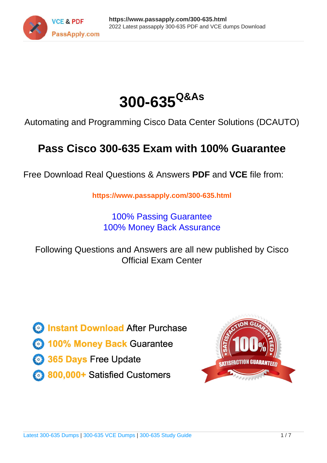



Automating and Programming Cisco Data Center Solutions (DCAUTO)

# **Pass Cisco 300-635 Exam with 100% Guarantee**

Free Download Real Questions & Answers **PDF** and **VCE** file from:

**https://www.passapply.com/300-635.html**

100% Passing Guarantee 100% Money Back Assurance

Following Questions and Answers are all new published by Cisco Official Exam Center

**C** Instant Download After Purchase **83 100% Money Back Guarantee** 365 Days Free Update

800,000+ Satisfied Customers

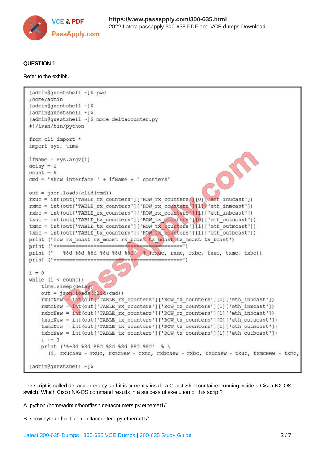

#### **QUESTION 1**

Refer to the exhibit.

```
[admin@guestshell ~]$ pwd
/home/admin
[admin@questshell ~]$
[admin@questshell ~1$
[admin@guestshell ~]$ more deltacounter.py
#!/isan/bin/python
from cli import *
import sys, time
ifName = sys.argv[1]delay = 2count = 5cmd = 'show interface ' + ifName + ' counters'out = json.loads (clid (cmd))rxuc = int(out['TABLE rx counters']['ROW_rx counters'][0]['eth_inucast'])
rxmc = int(out['TABLE rx counters']['ROW rx counters'][11] ['eth inmcast'])
rxbc = int(out['TABLE_rx_counters']['ROW_rx_counters'][1]['eth_inbcast'])
txuc = int(out['TABLE tx counters']['ROW tx counters'][0]['eth outucast'])
txmc = int(out['TABLE tx counters']['ROW tx counters'][1]['eth outmcast'])
txbc = int(out['TABLE tx counters']['ROW tx counters'][1]['eth outbcast'])
print ('row rx ucast rx mcast rx bcast tx ucast tx mcast tx bcast')
print (' %8d %8d %8d %8d %8d % (rxuc, rxmc, rxbc, txuc, txmc, txbc))
print ('==========================
                              i = 0while (i < count):
   time.sleep(delay)
   out = json.loads(clid(cmd))rxucNew = int(out['TABLE_rx_counters']['ROW_rx_counters'][0]['eth_inucast'])
   rxmcNew = int(out['TABLE rx counters']['ROW rx counters'][1]['eth inmcast'])
   rxbcNew = int( out['TABLE rx counters']['ROW rx counters'][1]['eth inbcast'])
   txucNew = int(out['TABLE tx counters']['ROW tx counters'][0]['eth outucast'])
   txmcNew = int(out['TABLE tx counters']['ROW tx counters'][1]['eth outmcast'])
   txbcNew = int(out['TABLE tx counters']['ROW tx counters'][1]['eth outbcast'])
   i + 1print ('%-3d %8d %8d %8d %8d %8d' % \
      (i, rxucNew - rxuc, rxmcNew - rxmc, rxbcNew - rxbc, txucNew - txuc, txmcNew - txmc,
[admin@questshell ~]$
```
The script is called deltacounters.py and it is currently inside a Guest Shell container running inside a Cisco NX-OS switch. Which Cisco NX-OS command results in a successful execution of this script?

A. python /home/admin/bootflash:deltacounters.py ethemet1/1

B. show python bootflash:deltacounters.py ethernet1/1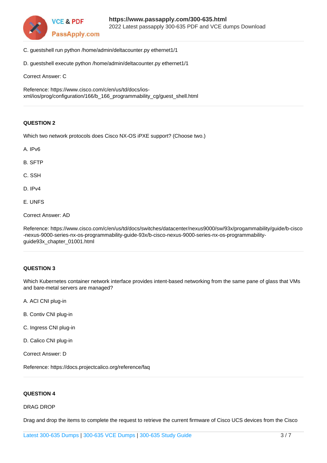

- C. guestshell run python /home/admin/deltacounter.py ethernet1/1
- D. guestshell execute python /home/admin/deltacounter.py ethernet1/1

Correct Answer: C

Reference: https://www.cisco.com/c/en/us/td/docs/iosxml/ios/prog/configuration/166/b\_166\_programmability\_cg/guest\_shell.html

#### **QUESTION 2**

Which two network protocols does Cisco NX-OS iPXE support? (Choose two.)

A. IPv6

- B. SFTP
- C. SSH
- D. IPv4
- E. UNFS

Correct Answer: AD

Reference: https://www.cisco.com/c/en/us/td/docs/switches/datacenter/nexus9000/sw/93x/progammability/guide/b-cisco -nexus-9000-series-nx-os-programmability-guide-93x/b-cisco-nexus-9000-series-nx-os-programmabilityguide93x\_chapter\_01001.html

#### **QUESTION 3**

Which Kubernetes container network interface provides intent-based networking from the same pane of glass that VMs and bare-metal servers are managed?

A. ACI CNI plug-in

- B. Contiv CNI plug-in
- C. Ingress CNI plug-in
- D. Calico CNI plug-in
- Correct Answer: D

Reference: https://docs.projectcalico.org/reference/faq

#### **QUESTION 4**

#### DRAG DROP

Drag and drop the items to complete the request to retrieve the current firmware of Cisco UCS devices from the Cisco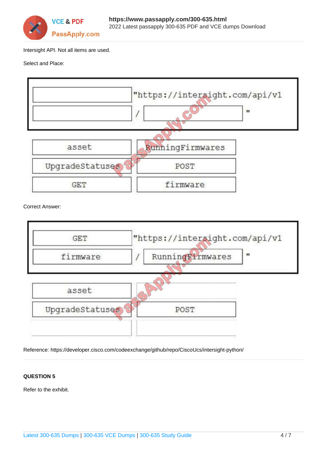

Intersight API. Not all items are used.

#### Select and Place:



Correct Answer:



Reference: https://developer.cisco.com/codeexchange/github/repo/CiscoUcs/intersight-python/

### **QUESTION 5**

Refer to the exhibit.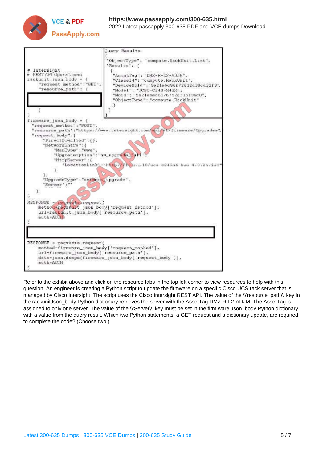



Refer to the exhibit above and click on the resource tabs in the top left corner to view resources to help with this question. An engineer is creating a Python script to update the firmware on a specific Cisco UCS rack server that is managed by Cisco Intersight. The script uses the Cisco Intersight REST API. The value of the \\'resource\_path\\' key in the rackunitJson\_body Python dictionary retrieves the server with the AssetTag DMZ-R-L2-ADJM. The AssetTag is assigned to only one server. The value of the \\'Server\\' key must be set in the firm ware Json\_body Python dictionary with a value from the query result. Which two Python statements, a GET request and a dictionary update, are required to complete the code? (Choose two.)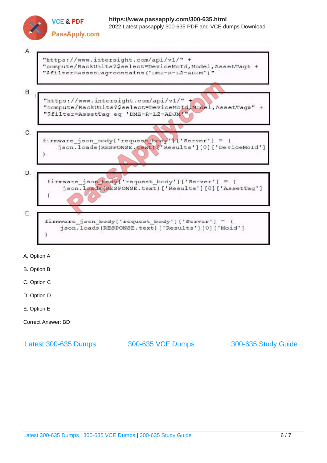



- A. Option A
- B. Option B
- C. Option C
- D. Option D
- E. Option E
- Correct Answer: BD

[Latest 300-635 Dumps](https://www.passapply.com/300-635.html) [300-635 VCE Dumps](https://www.passapply.com/300-635.html) [300-635 Study Guide](https://www.passapply.com/300-635.html)